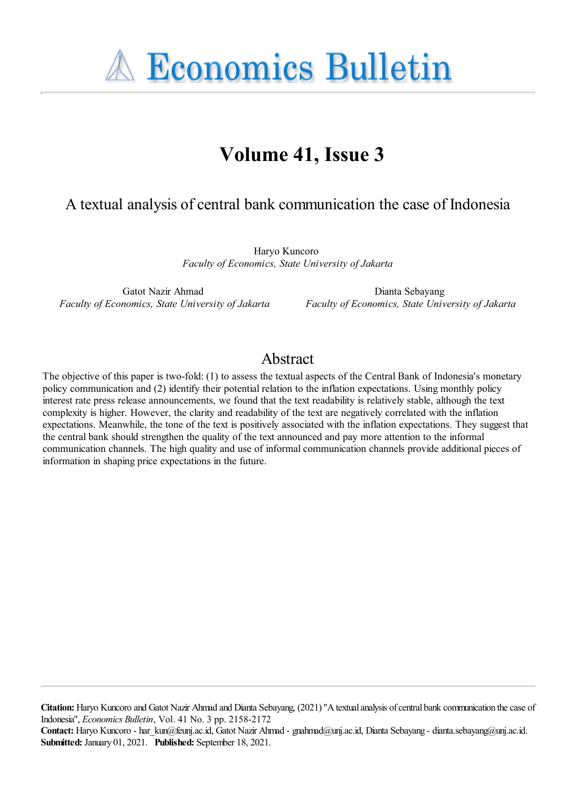**A Economics Bulletin** 

# **Volume 41, Issue 3**

## A textual analysis of central bank communication the case of Indonesia

Haryo Kuncoro *Faculty of Economics, State University of Jakarta*

Gatot Nazir Ahmad *Faculty of Economics, State University of Jakarta*

Dianta Sebayang *Faculty of Economics, State University of Jakarta*

## Abstract

The objective of this paper is two-fold: (1) to assess the textual aspects of the Central Bank of Indonesia's monetary policy communication and (2) identify their potential relation to the inflation expectations. Using monthly policy interest rate press release announcements, we found that the text readability is relatively stable, although the text complexity is higher. However, the clarity and readability of the text are negatively correlated with the inflation expectations. Meanwhile, the tone of the text is positively associated with the inflation expectations. They suggest that the central bank should strengthen the quality of the text announced and pay more attention to the informal communication channels. The high quality and use of informal communication channels provide additional pieces of information in shaping price expectations in the future.

**Citation:** Haryo Kuncoro and Gatot Nazir Ahmad and Dianta Sebayang, (2021) ''Atextualanalysis ofcentral bank communication thecase of Indonesia'', *Economics Bulletin*, Vol. 41 No. 3 pp. 2158-2172

Contact: Haryo Kuncoro - har kun@feunj.ac.id, Gatot Nazir Ahmad - gnahmad@unj.ac.id, Dianta Sebayang - dianta.sebayang@unj.ac.id. **Submitted:** January 01, 2021. **Published:** September 18, 2021.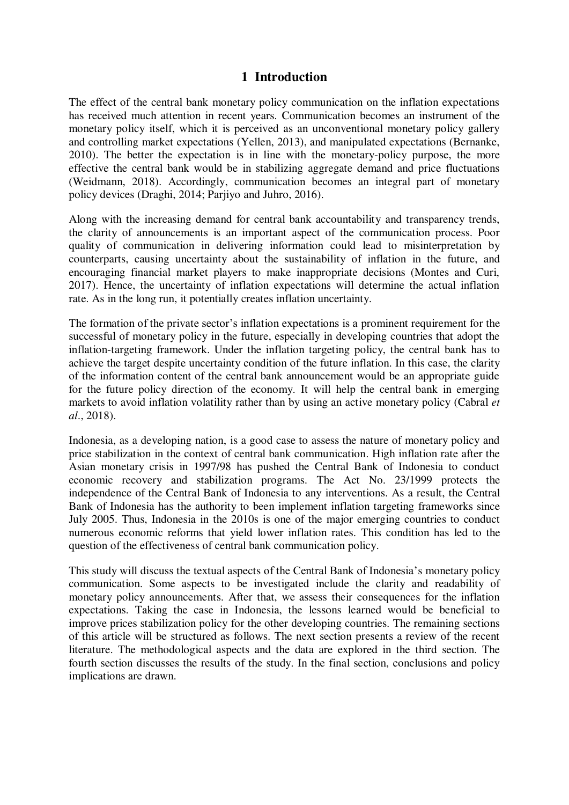#### **1 Introduction**

The effect of the central bank monetary policy communication on the inflation expectations has received much attention in recent years. Communication becomes an instrument of the monetary policy itself, which it is perceived as an unconventional monetary policy gallery and controlling market expectations (Yellen, 2013), and manipulated expectations (Bernanke, 2010). The better the expectation is in line with the monetary-policy purpose, the more effective the central bank would be in stabilizing aggregate demand and price fluctuations (Weidmann, 2018). Accordingly, communication becomes an integral part of monetary policy devices (Draghi, 2014; Parjiyo and Juhro, 2016).

Along with the increasing demand for central bank accountability and transparency trends, the clarity of announcements is an important aspect of the communication process. Poor quality of communication in delivering information could lead to misinterpretation by counterparts, causing uncertainty about the sustainability of inflation in the future, and encouraging financial market players to make inappropriate decisions (Montes and Curi, 2017). Hence, the uncertainty of inflation expectations will determine the actual inflation rate. As in the long run, it potentially creates inflation uncertainty.

The formation of the private sector's inflation expectations is a prominent requirement for the successful of monetary policy in the future, especially in developing countries that adopt the inflation-targeting framework. Under the inflation targeting policy, the central bank has to achieve the target despite uncertainty condition of the future inflation. In this case, the clarity of the information content of the central bank announcement would be an appropriate guide for the future policy direction of the economy. It will help the central bank in emerging markets to avoid inflation volatility rather than by using an active monetary policy (Cabral *et al*., 2018).

Indonesia, as a developing nation, is a good case to assess the nature of monetary policy and price stabilization in the context of central bank communication. High inflation rate after the Asian monetary crisis in 1997/98 has pushed the Central Bank of Indonesia to conduct economic recovery and stabilization programs. The Act No. 23/1999 protects the independence of the Central Bank of Indonesia to any interventions. As a result, the Central Bank of Indonesia has the authority to been implement inflation targeting frameworks since July 2005. Thus, Indonesia in the 2010s is one of the major emerging countries to conduct numerous economic reforms that yield lower inflation rates. This condition has led to the question of the effectiveness of central bank communication policy.

This study will discuss the textual aspects of the Central Bank of Indonesia's monetary policy communication. Some aspects to be investigated include the clarity and readability of monetary policy announcements. After that, we assess their consequences for the inflation expectations. Taking the case in Indonesia, the lessons learned would be beneficial to improve prices stabilization policy for the other developing countries. The remaining sections of this article will be structured as follows. The next section presents a review of the recent literature. The methodological aspects and the data are explored in the third section. The fourth section discusses the results of the study. In the final section, conclusions and policy implications are drawn.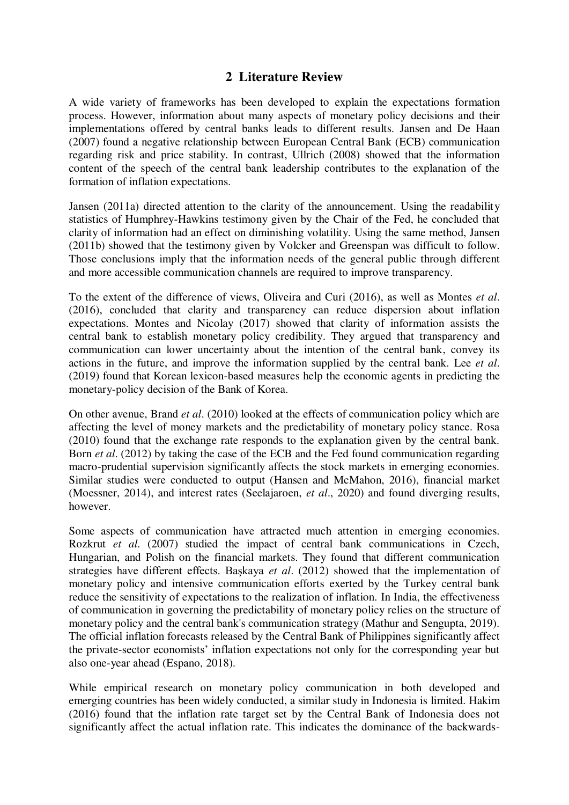### **2 Literature Review**

A wide variety of frameworks has been developed to explain the expectations formation process. However, information about many aspects of monetary policy decisions and their implementations offered by central banks leads to different results. Jansen and De Haan (2007) found a negative relationship between European Central Bank (ECB) communication regarding risk and price stability. In contrast, Ullrich (2008) showed that the information content of the speech of the central bank leadership contributes to the explanation of the formation of inflation expectations.

Jansen (2011a) directed attention to the clarity of the announcement. Using the readability statistics of Humphrey-Hawkins testimony given by the Chair of the Fed, he concluded that clarity of information had an effect on diminishing volatility. Using the same method, Jansen (2011b) showed that the testimony given by Volcker and Greenspan was difficult to follow. Those conclusions imply that the information needs of the general public through different and more accessible communication channels are required to improve transparency.

To the extent of the difference of views, Oliveira and Curi (2016), as well as Montes *et al*. (2016), concluded that clarity and transparency can reduce dispersion about inflation expectations. Montes and Nicolay (2017) showed that clarity of information assists the central bank to establish monetary policy credibility. They argued that transparency and communication can lower uncertainty about the intention of the central bank, convey its actions in the future, and improve the information supplied by the central bank. Lee *et al*. (2019) found that Korean lexicon-based measures help the economic agents in predicting the monetary-policy decision of the Bank of Korea.

On other avenue, Brand *et al*. (2010) looked at the effects of communication policy which are affecting the level of money markets and the predictability of monetary policy stance. Rosa (2010) found that the exchange rate responds to the explanation given by the central bank. Born *et al*. (2012) by taking the case of the ECB and the Fed found communication regarding macro-prudential supervision significantly affects the stock markets in emerging economies. Similar studies were conducted to output (Hansen and McMahon, 2016), financial market (Moessner, 2014), and interest rates (Seelajaroen, *et al*., 2020) and found diverging results, however.

Some aspects of communication have attracted much attention in emerging economies. Rozkrut *et al*. (2007) studied the impact of central bank communications in Czech, Hungarian, and Polish on the financial markets. They found that different communication strategies have different effects. Başkaya *et al*. (2012) showed that the implementation of monetary policy and intensive communication efforts exerted by the Turkey central bank reduce the sensitivity of expectations to the realization of inflation. In India, the effectiveness of communication in governing the predictability of monetary policy relies on the structure of monetary policy and the central bank's communication strategy (Mathur and Sengupta, 2019). The official inflation forecasts released by the Central Bank of Philippines significantly affect the private-sector economists' inflation expectations not only for the corresponding year but also one-year ahead (Espano, 2018).

While empirical research on monetary policy communication in both developed and emerging countries has been widely conducted, a similar study in Indonesia is limited. Hakim (2016) found that the inflation rate target set by the Central Bank of Indonesia does not significantly affect the actual inflation rate. This indicates the dominance of the backwards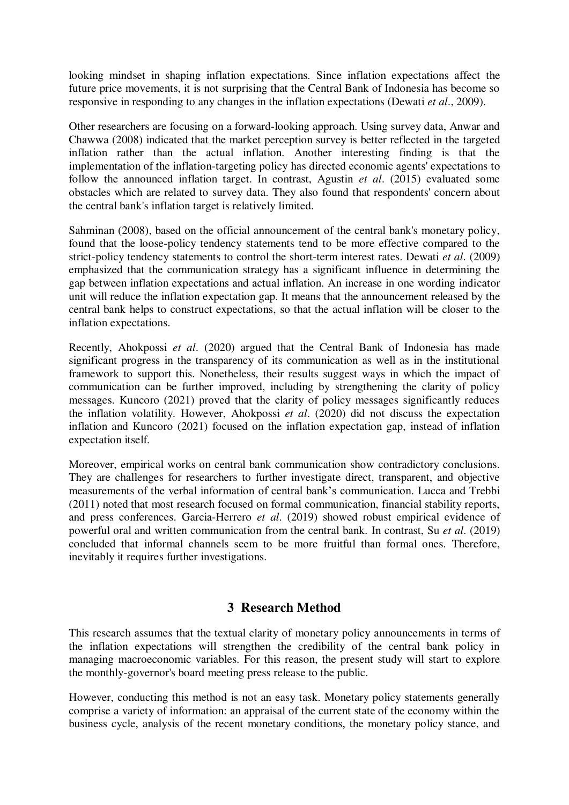looking mindset in shaping inflation expectations. Since inflation expectations affect the future price movements, it is not surprising that the Central Bank of Indonesia has become so responsive in responding to any changes in the inflation expectations (Dewati *et al*., 2009).

Other researchers are focusing on a forward-looking approach. Using survey data, Anwar and Chawwa (2008) indicated that the market perception survey is better reflected in the targeted inflation rather than the actual inflation. Another interesting finding is that the implementation of the inflation-targeting policy has directed economic agents' expectations to follow the announced inflation target. In contrast, Agustin *et al*. (2015) evaluated some obstacles which are related to survey data. They also found that respondents' concern about the central bank's inflation target is relatively limited.

Sahminan (2008), based on the official announcement of the central bank's monetary policy, found that the loose-policy tendency statements tend to be more effective compared to the strict-policy tendency statements to control the short-term interest rates. Dewati *et al*. (2009) emphasized that the communication strategy has a significant influence in determining the gap between inflation expectations and actual inflation. An increase in one wording indicator unit will reduce the inflation expectation gap. It means that the announcement released by the central bank helps to construct expectations, so that the actual inflation will be closer to the inflation expectations.

Recently, Ahokpossi *et al*. (2020) argued that the Central Bank of Indonesia has made significant progress in the transparency of its communication as well as in the institutional framework to support this. Nonetheless, their results suggest ways in which the impact of communication can be further improved, including by strengthening the clarity of policy messages. Kuncoro (2021) proved that the clarity of policy messages significantly reduces the inflation volatility. However, Ahokpossi *et al*. (2020) did not discuss the expectation inflation and Kuncoro (2021) focused on the inflation expectation gap, instead of inflation expectation itself.

Moreover, empirical works on central bank communication show contradictory conclusions. They are challenges for researchers to further investigate direct, transparent, and objective measurements of the verbal information of central bank's communication. Lucca and Trebbi (2011) noted that most research focused on formal communication, financial stability reports, and press conferences. Garcia-Herrero *et al*. (2019) showed robust empirical evidence of powerful oral and written communication from the central bank. In contrast, Su *et al*. (2019) concluded that informal channels seem to be more fruitful than formal ones. Therefore, inevitably it requires further investigations.

### **3 Research Method**

This research assumes that the textual clarity of monetary policy announcements in terms of the inflation expectations will strengthen the credibility of the central bank policy in managing macroeconomic variables. For this reason, the present study will start to explore the monthly-governor's board meeting press release to the public.

However, conducting this method is not an easy task. Monetary policy statements generally comprise a variety of information: an appraisal of the current state of the economy within the business cycle, analysis of the recent monetary conditions, the monetary policy stance, and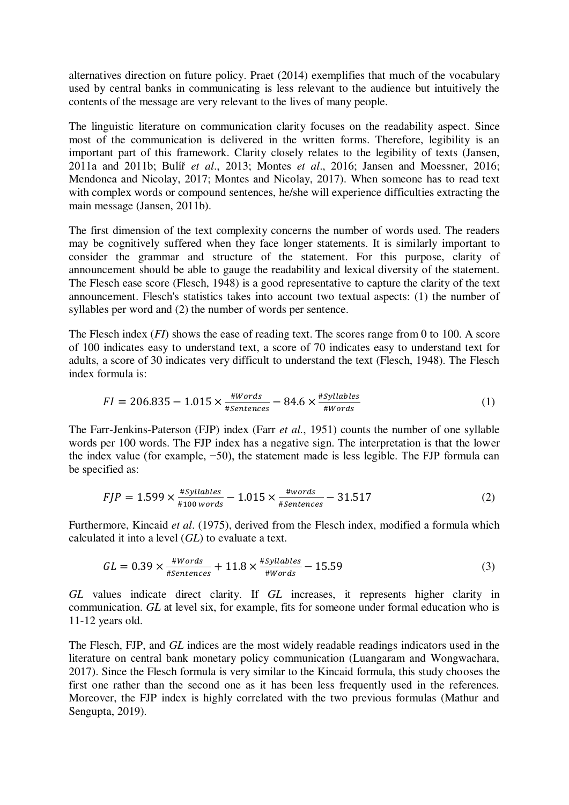alternatives direction on future policy. Praet (2014) exemplifies that much of the vocabulary used by central banks in communicating is less relevant to the audience but intuitively the contents of the message are very relevant to the lives of many people.

The linguistic literature on communication clarity focuses on the readability aspect. Since most of the communication is delivered in the written forms. Therefore, legibility is an important part of this framework. Clarity closely relates to the legibility of texts (Jansen, 2011a and 2011b; Bulíř *et al*., 2013; Montes *et al*., 2016; Jansen and Moessner, 2016; Mendonca and Nicolay, 2017; Montes and Nicolay, 2017). When someone has to read text with complex words or compound sentences, he/she will experience difficulties extracting the main message (Jansen, 2011b).

The first dimension of the text complexity concerns the number of words used. The readers may be cognitively suffered when they face longer statements. It is similarly important to consider the grammar and structure of the statement. For this purpose, clarity of announcement should be able to gauge the readability and lexical diversity of the statement. The Flesch ease score (Flesch, 1948) is a good representative to capture the clarity of the text announcement. Flesch's statistics takes into account two textual aspects: (1) the number of syllables per word and (2) the number of words per sentence.

The Flesch index (*FI*) shows the ease of reading text. The scores range from 0 to 100. A score of 100 indicates easy to understand text, a score of 70 indicates easy to understand text for adults, a score of 30 indicates very difficult to understand the text (Flesch, 1948). The Flesch index formula is:

$$
FI = 206.835 - 1.015 \times \frac{\#Words}{\#Sentences} - 84.6 \times \frac{\#Syllables}{\#Words}
$$
 (1)

The Farr-Jenkins-Paterson (FJP) index (Farr *et al.*, 1951) counts the number of one syllable words per 100 words. The FJP index has a negative sign. The interpretation is that the lower the index value (for example, −50), the statement made is less legible. The FJP formula can be specified as:

$$
FJP = 1.599 \times \frac{\#Syllables}{\#100 words} - 1.015 \times \frac{\#words}{\#Sentences} - 31.517
$$
 (2)

Furthermore, Kincaid *et al*. (1975), derived from the Flesch index, modified a formula which calculated it into a level (*GL*) to evaluate a text.

$$
GL = 0.39 \times \frac{\#Words}{\#Sentences} + 11.8 \times \frac{\#Syllables}{\#Words} - 15.59
$$
 (3)

*GL* values indicate direct clarity. If *GL* increases, it represents higher clarity in communication. *GL* at level six, for example, fits for someone under formal education who is 11-12 years old.

The Flesch, FJP, and *GL* indices are the most widely readable readings indicators used in the literature on central bank monetary policy communication (Luangaram and Wongwachara, 2017). Since the Flesch formula is very similar to the Kincaid formula, this study chooses the first one rather than the second one as it has been less frequently used in the references. Moreover, the FJP index is highly correlated with the two previous formulas (Mathur and Sengupta, 2019).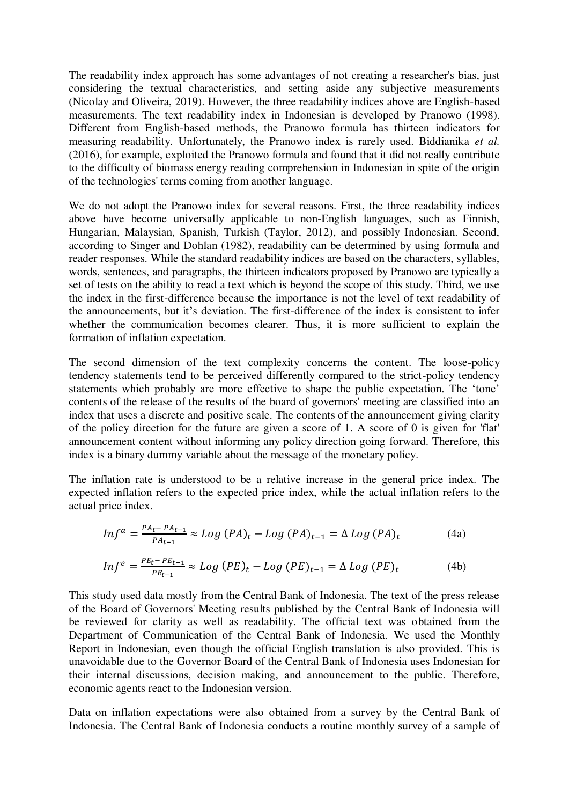The readability index approach has some advantages of not creating a researcher's bias, just considering the textual characteristics, and setting aside any subjective measurements (Nicolay and Oliveira, 2019). However, the three readability indices above are English-based measurements. The text readability index in Indonesian is developed by Pranowo (1998). Different from English-based methods, the Pranowo formula has thirteen indicators for measuring readability. Unfortunately, the Pranowo index is rarely used. Biddianika *et al.* (2016), for example, exploited the Pranowo formula and found that it did not really contribute to the difficulty of biomass energy reading comprehension in Indonesian in spite of the origin of the technologies' terms coming from another language.

We do not adopt the Pranowo index for several reasons. First, the three readability indices above have become universally applicable to non-English languages, such as Finnish, Hungarian, Malaysian, Spanish, Turkish (Taylor, 2012), and possibly Indonesian. Second, according to Singer and Dohlan (1982), readability can be determined by using formula and reader responses. While the standard readability indices are based on the characters, syllables, words, sentences, and paragraphs, the thirteen indicators proposed by Pranowo are typically a set of tests on the ability to read a text which is beyond the scope of this study. Third, we use the index in the first-difference because the importance is not the level of text readability of the announcements, but it's deviation. The first-difference of the index is consistent to infer whether the communication becomes clearer. Thus, it is more sufficient to explain the formation of inflation expectation.

The second dimension of the text complexity concerns the content. The loose-policy tendency statements tend to be perceived differently compared to the strict-policy tendency statements which probably are more effective to shape the public expectation. The 'tone' contents of the release of the results of the board of governors' meeting are classified into an index that uses a discrete and positive scale. The contents of the announcement giving clarity of the policy direction for the future are given a score of 1. A score of 0 is given for 'flat' announcement content without informing any policy direction going forward. Therefore, this index is a binary dummy variable about the message of the monetary policy.

The inflation rate is understood to be a relative increase in the general price index. The expected inflation refers to the expected price index, while the actual inflation refers to the actual price index.

$$
Infa = \frac{PA_t - PA_{t-1}}{PA_{t-1}} \approx Log(PA)_t - Log(PA)_{t-1} = \Delta Log(PA)_t
$$
 (4a)

$$
Infe = \frac{PE_t - PE_{t-1}}{PE_{t-1}} \approx Log (PE)_t - Log (PE)_{t-1} = \Delta Log (PE)_t
$$
 (4b)

This study used data mostly from the Central Bank of Indonesia. The text of the press release of the Board of Governors' Meeting results published by the Central Bank of Indonesia will be reviewed for clarity as well as readability. The official text was obtained from the Department of Communication of the Central Bank of Indonesia. We used the Monthly Report in Indonesian, even though the official English translation is also provided. This is unavoidable due to the Governor Board of the Central Bank of Indonesia uses Indonesian for their internal discussions, decision making, and announcement to the public. Therefore, economic agents react to the Indonesian version.

Data on inflation expectations were also obtained from a survey by the Central Bank of Indonesia. The Central Bank of Indonesia conducts a routine monthly survey of a sample of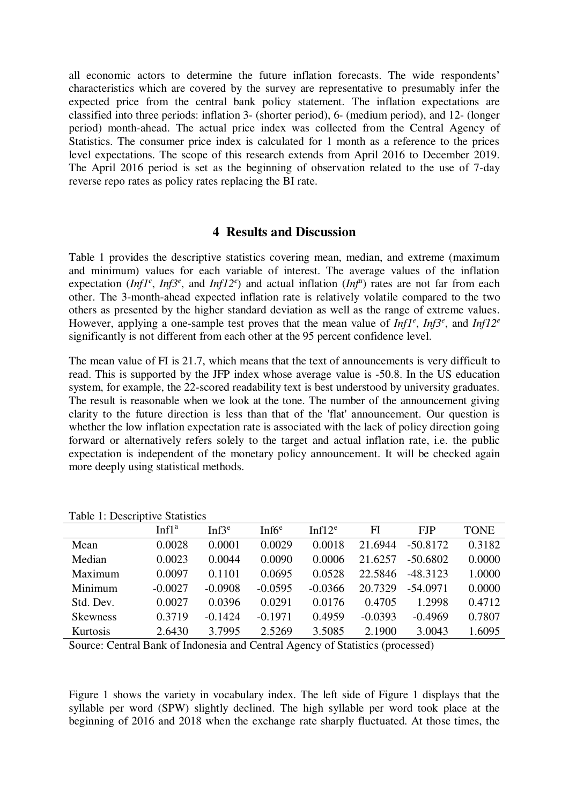all economic actors to determine the future inflation forecasts. The wide respondents' characteristics which are covered by the survey are representative to presumably infer the expected price from the central bank policy statement. The inflation expectations are classified into three periods: inflation 3- (shorter period), 6- (medium period), and 12- (longer period) month-ahead. The actual price index was collected from the Central Agency of Statistics. The consumer price index is calculated for 1 month as a reference to the prices level expectations. The scope of this research extends from April 2016 to December 2019. The April 2016 period is set as the beginning of observation related to the use of 7-day reverse repo rates as policy rates replacing the BI rate.

#### **4 Results and Discussion**

Table 1 provides the descriptive statistics covering mean, median, and extreme (maximum and minimum) values for each variable of interest. The average values of the inflation expectation (*Inf1<sup>e</sup>*, *Inf3<sup>e</sup>*, and *Inf12<sup>e</sup>*) and actual inflation (*Inf<sup>a</sup>*) rates are not far from each other. The 3-month-ahead expected inflation rate is relatively volatile compared to the two others as presented by the higher standard deviation as well as the range of extreme values. However, applying a one-sample test proves that the mean value of *Inf1<sup>e</sup>* , *Inf3<sup>e</sup>* , and *Inf12<sup>e</sup>* significantly is not different from each other at the 95 percent confidence level.

The mean value of FI is 21.7, which means that the text of announcements is very difficult to read. This is supported by the JFP index whose average value is -50.8. In the US education system, for example, the 22-scored readability text is best understood by university graduates. The result is reasonable when we look at the tone. The number of the announcement giving clarity to the future direction is less than that of the 'flat' announcement. Our question is whether the low inflation expectation rate is associated with the lack of policy direction going forward or alternatively refers solely to the target and actual inflation rate, i.e. the public expectation is independent of the monetary policy announcement. It will be checked again more deeply using statistical methods.

|                 | Infl <sup>a</sup> | Inf3 <sup>e</sup> | Inf $6e$  | Inf $12^e$ | FI        | <b>FJP</b> | <b>TONE</b> |
|-----------------|-------------------|-------------------|-----------|------------|-----------|------------|-------------|
| Mean            | 0.0028            | 0.0001            | 0.0029    | 0.0018     | 21.6944   | $-50.8172$ | 0.3182      |
| Median          | 0.0023            | 0.0044            | 0.0090    | 0.0006     | 21.6257   | $-50.6802$ | 0.0000      |
| Maximum         | 0.0097            | 0.1101            | 0.0695    | 0.0528     | 22.5846   | $-48.3123$ | 1.0000      |
| Minimum         | $-0.0027$         | $-0.0908$         | $-0.0595$ | $-0.0366$  | 20.7329   | $-54.0971$ | 0.0000      |
| Std. Dev.       | 0.0027            | 0.0396            | 0.0291    | 0.0176     | 0.4705    | 1.2998     | 0.4712      |
| <b>Skewness</b> | 0.3719            | $-0.1424$         | $-0.1971$ | 0.4959     | $-0.0393$ | $-0.4969$  | 0.7807      |
| Kurtosis        | 2.6430            | 3.7995            | 2.5269    | 3.5085     | 2.1900    | 3.0043     | 1.6095      |

Table 1: Descriptive Statistics

Source: Central Bank of Indonesia and Central Agency of Statistics (processed)

Figure 1 shows the variety in vocabulary index. The left side of Figure 1 displays that the syllable per word (SPW) slightly declined. The high syllable per word took place at the beginning of 2016 and 2018 when the exchange rate sharply fluctuated. At those times, the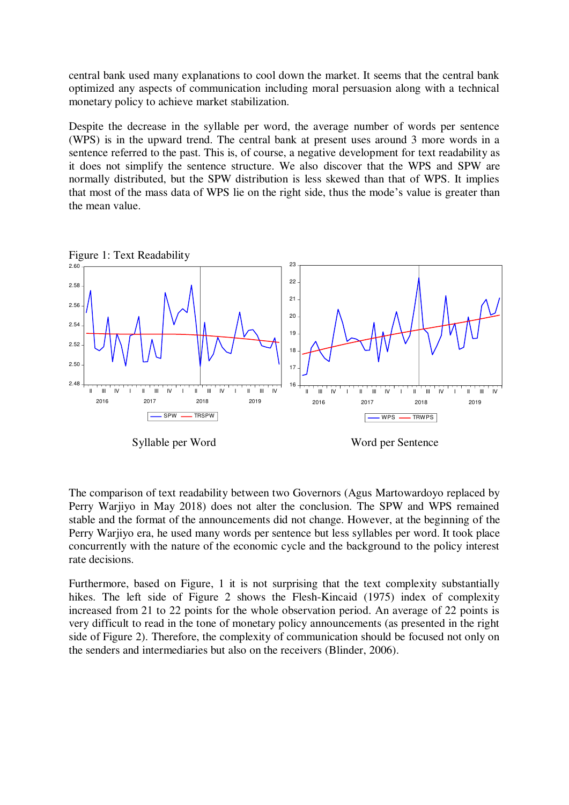central bank used many explanations to cool down the market. It seems that the central bank optimized any aspects of communication including moral persuasion along with a technical monetary policy to achieve market stabilization.

Despite the decrease in the syllable per word, the average number of words per sentence (WPS) is in the upward trend. The central bank at present uses around 3 more words in a sentence referred to the past. This is, of course, a negative development for text readability as it does not simplify the sentence structure. We also discover that the WPS and SPW are normally distributed, but the SPW distribution is less skewed than that of WPS. It implies that most of the mass data of WPS lie on the right side, thus the mode's value is greater than the mean value.



Syllable per Word Word Word per Sentence

The comparison of text readability between two Governors (Agus Martowardoyo replaced by Perry Warjiyo in May 2018) does not alter the conclusion. The SPW and WPS remained stable and the format of the announcements did not change. However, at the beginning of the Perry Warjiyo era, he used many words per sentence but less syllables per word. It took place concurrently with the nature of the economic cycle and the background to the policy interest rate decisions.

Furthermore, based on Figure, 1 it is not surprising that the text complexity substantially hikes. The left side of Figure 2 shows the Flesh-Kincaid (1975) index of complexity increased from 21 to 22 points for the whole observation period. An average of 22 points is very difficult to read in the tone of monetary policy announcements (as presented in the right side of Figure 2). Therefore, the complexity of communication should be focused not only on the senders and intermediaries but also on the receivers (Blinder, 2006).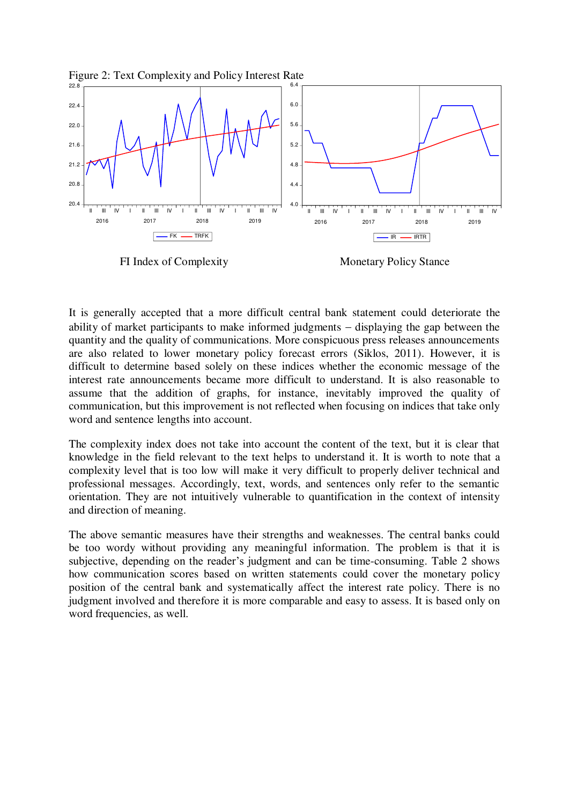



FI Index of Complexity Monetary Policy Stance

It is generally accepted that a more difficult central bank statement could deteriorate the ability of market participants to make informed judgments  $-$  displaying the gap between the quantity and the quality of communications. More conspicuous press releases announcements are also related to lower monetary policy forecast errors (Siklos, 2011). However, it is difficult to determine based solely on these indices whether the economic message of the interest rate announcements became more difficult to understand. It is also reasonable to assume that the addition of graphs, for instance, inevitably improved the quality of communication, but this improvement is not reflected when focusing on indices that take only word and sentence lengths into account.

The complexity index does not take into account the content of the text, but it is clear that knowledge in the field relevant to the text helps to understand it. It is worth to note that a complexity level that is too low will make it very difficult to properly deliver technical and professional messages. Accordingly, text, words, and sentences only refer to the semantic orientation. They are not intuitively vulnerable to quantification in the context of intensity and direction of meaning.

The above semantic measures have their strengths and weaknesses. The central banks could be too wordy without providing any meaningful information. The problem is that it is subjective, depending on the reader's judgment and can be time-consuming. Table 2 shows how communication scores based on written statements could cover the monetary policy position of the central bank and systematically affect the interest rate policy. There is no judgment involved and therefore it is more comparable and easy to assess. It is based only on word frequencies, as well.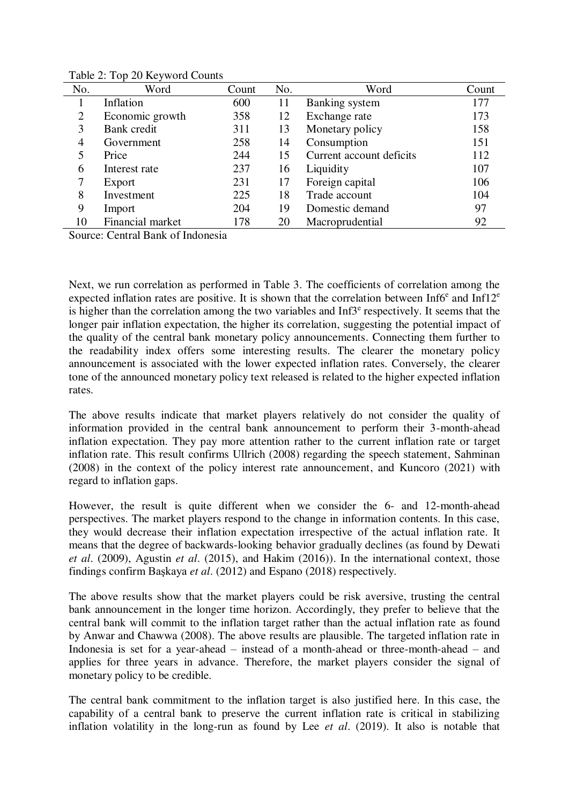| No.            | Word             | Count | No. | Word                     | Count |
|----------------|------------------|-------|-----|--------------------------|-------|
|                | Inflation        | 600   | 11  | <b>Banking</b> system    | 177   |
| $\overline{2}$ | Economic growth  | 358   | 12  | Exchange rate            | 173   |
| 3              | Bank credit      | 311   | 13  | Monetary policy          | 158   |
| 4              | Government       | 258   | 14  | Consumption              | 151   |
| 5              | Price            | 244   | 15  | Current account deficits | 112   |
| 6              | Interest rate    | 237   | 16  | Liquidity                | 107   |
| 7              | Export           | 231   | 17  | Foreign capital          | 106   |
| 8              | Investment       | 225   | 18  | Trade account            | 104   |
| 9              | Import           | 204   | 19  | Domestic demand          | 97    |
| 10             | Financial market | 178   | 20  | Macroprudential          | 92    |

Table 2: Top 20 Keyword Counts

Source: Central Bank of Indonesia

Next, we run correlation as performed in Table 3. The coefficients of correlation among the expected inflation rates are positive. It is shown that the correlation between Inf6 $^{\circ}$  and Inf12 $^{\circ}$ is higher than the correlation among the two variables and  $Inf3<sup>e</sup>$  respectively. It seems that the longer pair inflation expectation, the higher its correlation, suggesting the potential impact of the quality of the central bank monetary policy announcements. Connecting them further to the readability index offers some interesting results. The clearer the monetary policy announcement is associated with the lower expected inflation rates. Conversely, the clearer tone of the announced monetary policy text released is related to the higher expected inflation rates.

The above results indicate that market players relatively do not consider the quality of information provided in the central bank announcement to perform their 3-month-ahead inflation expectation. They pay more attention rather to the current inflation rate or target inflation rate. This result confirms Ullrich (2008) regarding the speech statement, Sahminan (2008) in the context of the policy interest rate announcement, and Kuncoro (2021) with regard to inflation gaps.

However, the result is quite different when we consider the 6- and 12-month-ahead perspectives. The market players respond to the change in information contents. In this case, they would decrease their inflation expectation irrespective of the actual inflation rate. It means that the degree of backwards-looking behavior gradually declines (as found by Dewati *et al*. (2009), Agustin *et al*. (2015), and Hakim (2016)). In the international context, those findings confirm Başkaya *et al*. (2012) and Espano (2018) respectively.

The above results show that the market players could be risk aversive, trusting the central bank announcement in the longer time horizon. Accordingly, they prefer to believe that the central bank will commit to the inflation target rather than the actual inflation rate as found by Anwar and Chawwa (2008). The above results are plausible. The targeted inflation rate in Indonesia is set for a year-ahead – instead of a month-ahead or three-month-ahead – and applies for three years in advance. Therefore, the market players consider the signal of monetary policy to be credible.

The central bank commitment to the inflation target is also justified here. In this case, the capability of a central bank to preserve the current inflation rate is critical in stabilizing inflation volatility in the long-run as found by Lee *et al*. (2019). It also is notable that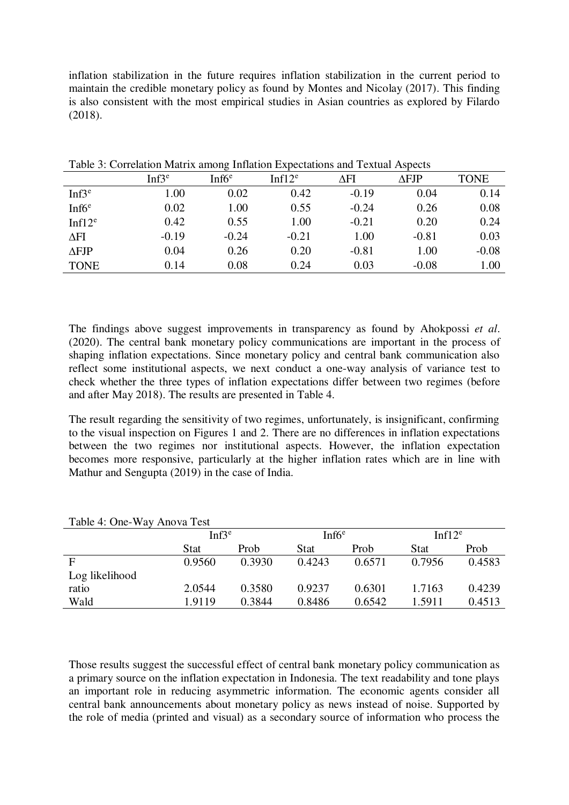inflation stabilization in the future requires inflation stabilization in the current period to maintain the credible monetary policy as found by Montes and Nicolay (2017). This finding is also consistent with the most empirical studies in Asian countries as explored by Filardo (2018).

|          | ັ        |            |                      |              |             |
|----------|----------|------------|----------------------|--------------|-------------|
| $Inf3^e$ | Inf $6e$ | Inf $12^e$ | $\Delta \mathrm{FI}$ | $\Delta$ FJP | <b>TONE</b> |
| 1.00     | 0.02     | 0.42       | $-0.19$              | 0.04         | 0.14        |
| 0.02     | 1.00     | 0.55       | $-0.24$              | 0.26         | 0.08        |
| 0.42     | 0.55     | 1.00       | $-0.21$              | 0.20         | 0.24        |
| $-0.19$  | $-0.24$  | $-0.21$    | 1.00                 | $-0.81$      | 0.03        |
| 0.04     | 0.26     | 0.20       | $-0.81$              | 1.00         | $-0.08$     |
| 0.14     | 0.08     | 0.24       | 0.03                 | $-0.08$      | 1.00        |
|          |          |            |                      |              |             |

Table 3: Correlation Matrix among Inflation Expectations and Textual Aspects

The findings above suggest improvements in transparency as found by Ahokpossi *et al*. (2020). The central bank monetary policy communications are important in the process of shaping inflation expectations. Since monetary policy and central bank communication also reflect some institutional aspects, we next conduct a one-way analysis of variance test to check whether the three types of inflation expectations differ between two regimes (before and after May 2018). The results are presented in Table 4.

The result regarding the sensitivity of two regimes, unfortunately, is insignificant, confirming to the visual inspection on Figures 1 and 2. There are no differences in inflation expectations between the two regimes nor institutional aspects. However, the inflation expectation becomes more responsive, particularly at the higher inflation rates which are in line with Mathur and Sengupta (2019) in the case of India.

|                | $Inf3^e$    |        | Inf6 <sup>e</sup> |        | Inf $12^e$  |        |
|----------------|-------------|--------|-------------------|--------|-------------|--------|
|                | <b>Stat</b> | Prob   | <b>Stat</b>       | Prob   | <b>Stat</b> | Prob   |
| F              | 0.9560      | 0.3930 | 0.4243            | 0.6571 | 0.7956      | 0.4583 |
| Log likelihood |             |        |                   |        |             |        |
| ratio          | 2.0544      | 0.3580 | 0.9237            | 0.6301 | 1.7163      | 0.4239 |
| Wald           | 1.9119      | 0.3844 | 0.8486            | 0.6542 | 1.5911      | 0.4513 |

Table 4: One-Way Anova Test

Those results suggest the successful effect of central bank monetary policy communication as a primary source on the inflation expectation in Indonesia. The text readability and tone plays an important role in reducing asymmetric information. The economic agents consider all central bank announcements about monetary policy as news instead of noise. Supported by the role of media (printed and visual) as a secondary source of information who process the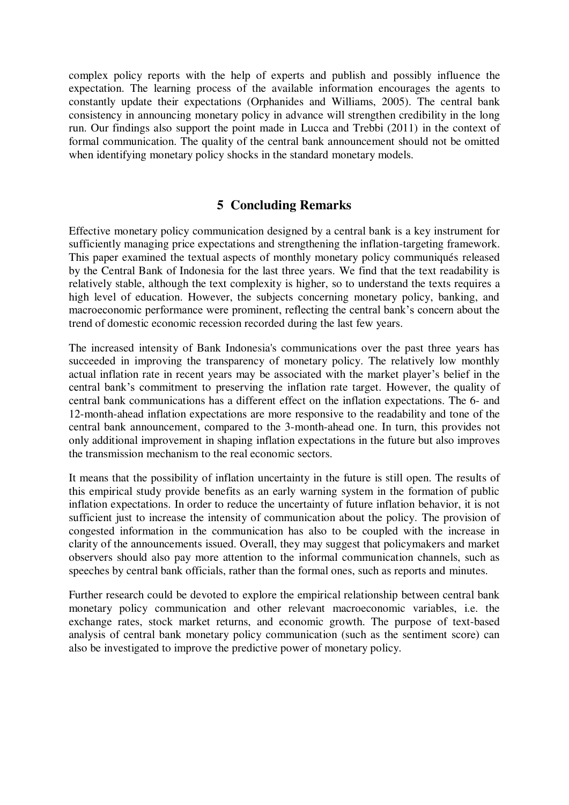complex policy reports with the help of experts and publish and possibly influence the expectation. The learning process of the available information encourages the agents to constantly update their expectations (Orphanides and Williams, 2005). The central bank consistency in announcing monetary policy in advance will strengthen credibility in the long run. Our findings also support the point made in Lucca and Trebbi (2011) in the context of formal communication. The quality of the central bank announcement should not be omitted when identifying monetary policy shocks in the standard monetary models.

### **5 Concluding Remarks**

Effective monetary policy communication designed by a central bank is a key instrument for sufficiently managing price expectations and strengthening the inflation-targeting framework. This paper examined the textual aspects of monthly monetary policy communiqués released by the Central Bank of Indonesia for the last three years. We find that the text readability is relatively stable, although the text complexity is higher, so to understand the texts requires a high level of education. However, the subjects concerning monetary policy, banking, and macroeconomic performance were prominent, reflecting the central bank's concern about the trend of domestic economic recession recorded during the last few years.

The increased intensity of Bank Indonesia's communications over the past three years has succeeded in improving the transparency of monetary policy. The relatively low monthly actual inflation rate in recent years may be associated with the market player's belief in the central bank's commitment to preserving the inflation rate target. However, the quality of central bank communications has a different effect on the inflation expectations. The 6- and 12-month-ahead inflation expectations are more responsive to the readability and tone of the central bank announcement, compared to the 3-month-ahead one. In turn, this provides not only additional improvement in shaping inflation expectations in the future but also improves the transmission mechanism to the real economic sectors.

It means that the possibility of inflation uncertainty in the future is still open. The results of this empirical study provide benefits as an early warning system in the formation of public inflation expectations. In order to reduce the uncertainty of future inflation behavior, it is not sufficient just to increase the intensity of communication about the policy. The provision of congested information in the communication has also to be coupled with the increase in clarity of the announcements issued. Overall, they may suggest that policymakers and market observers should also pay more attention to the informal communication channels, such as speeches by central bank officials, rather than the formal ones, such as reports and minutes.

Further research could be devoted to explore the empirical relationship between central bank monetary policy communication and other relevant macroeconomic variables, i.e. the exchange rates, stock market returns, and economic growth. The purpose of text-based analysis of central bank monetary policy communication (such as the sentiment score) can also be investigated to improve the predictive power of monetary policy.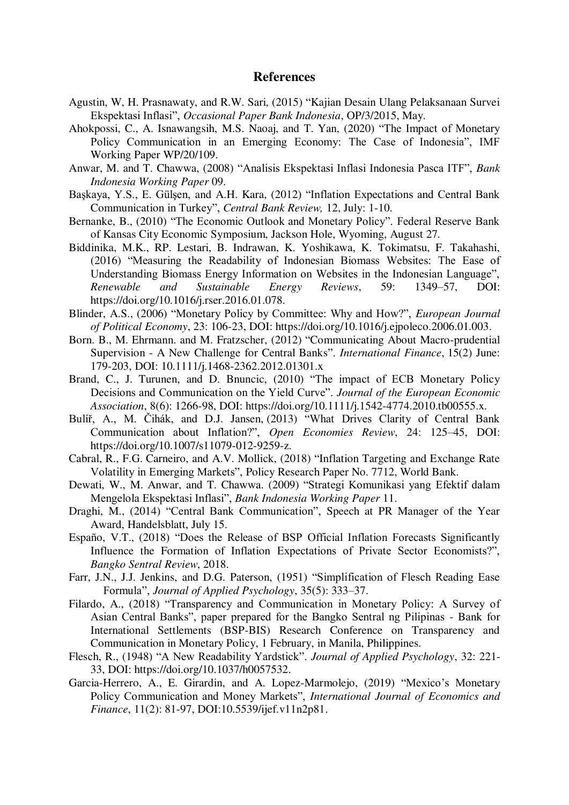#### **References**

- Agustin, W, H. Prasnawaty, and R.W. Sari, (2015) "Kajian Desain Ulang Pelaksanaan Survei Ekspektasi Inflasi", *Occasional Paper Bank Indonesia*, OP/3/2015, May.
- Ahokpossi, C., A. Isnawangsih, M.S. Naoaj, and T. Yan, (2020) "The Impact of Monetary Policy Communication in an Emerging Economy: The Case of Indonesia", IMF Working Paper WP/20/109.
- Anwar, M. and T. Chawwa, (2008) "Analisis Ekspektasi Inflasi Indonesia Pasca ITF", *Bank Indonesia Working Paper* 09.
- Başkaya, Y.S., E. Gülşen, and A.H. Kara, (2012) "Inflation Expectations and Central Bank Communication in Turkey", *Central Bank Review,* 12, July: 1-10.
- Bernanke, B., (2010) "The Economic Outlook and Monetary Policy". Federal Reserve Bank of Kansas City Economic Symposium, Jackson Hole, Wyoming, August 27.
- Biddinika, M.K., RP. Lestari, B. Indrawan, K. Yoshikawa, K. Tokimatsu, F. Takahashi, (2016) "Measuring the Readability of Indonesian Biomass Websites: The Ease of Understanding Biomass Energy Information on Websites in the Indonesian Language", *Renewable and Sustainable Energy Reviews*, 59: 1349–57, DOI: https://doi.org/10.1016/j.rser.2016.01.078.
- Blinder, A.S., (2006) "Monetary Policy by Committee: Why and How?", *European Journal of Political Economy*, 23: 106-23, DOI: https://doi.org/10.1016/j.ejpoleco.2006.01.003.
- Born. B., M. Ehrmann. and M. Fratzscher, (2012) "Communicating About Macro-prudential Supervision - A New Challenge for Central Banks". *International Finance*, 15(2) June: 179-203, DOI: [10.1111/j.1468-2362.2012.01301.x](http://dx.doi.org/10.1111/j.1468-2362.2012.01301.x)
- Brand, C., J. Turunen, and D. Bnuncic, (2010) "The impact of ECB Monetary Policy Decisions and Communication on the Yield Curve". *Journal of the European Economic Association*, 8(6): 1266-98, DOI: https://doi.org/10.1111/j.1542-4774.2010.tb00555.x.
- Bulíř, A., M. Čihák, and D.J. Jansen, (2013) "What Drives Clarity of Central Bank Communication about Inflation?", *Open Economies Review*, 24: 125–45, DOI: https://doi.org/10.1007/s11079-012-9259-z.
- Cabral, R., F.G. Carneiro, and A.V. Mollick, (2018) "Inflation Targeting and Exchange Rate Volatility in Emerging Markets", Policy Research Paper No. 7712, World Bank.
- Dewati, W., M. Anwar, and T. Chawwa. (2009) "Strategi Komunikasi yang Efektif dalam Mengelola Ekspektasi Inflasi", *Bank Indonesia Working Paper* 11.
- Draghi, M., (2014) "Central Bank Communication", Speech at PR Manager of the Year Award, Handelsblatt, July 15.
- Españo, V.T., (2018) "Does the Release of BSP Official Inflation Forecasts Significantly Influence the Formation of Inflation Expectations of Private Sector Economists?", *Bangko Sentral Review*, 2018.
- Farr, J.N., J.J. Jenkins, and D.G. Paterson, (1951) "Simplification of Flesch Reading Ease Formula", *Journal of Applied Psychology*, 35(5): 333–37.
- Filardo, A., (2018) "Transparency and Communication in Monetary Policy: A Survey of Asian Central Banks", paper prepared for the Bangko Sentral ng Pilipinas - Bank for International Settlements (BSP-BIS) Research Conference on Transparency and Communication in Monetary Policy, 1 February, in Manila, Philippines.
- Flesch, R., (1948) "A New Readability Yardstick". *Journal of Applied Psychology*, 32: 221- 33, DOI: https://doi.org/10.1037/h0057532.
- Garcia-Herrero, A., E. Girardin, and A. Lopez-Marmolejo, (2019) "Mexico's Monetary Policy Communication and Money Markets", *International Journal of Economics and Finance*, 11(2): 81-97, DOI:10.5539/ijef.v11n2p81.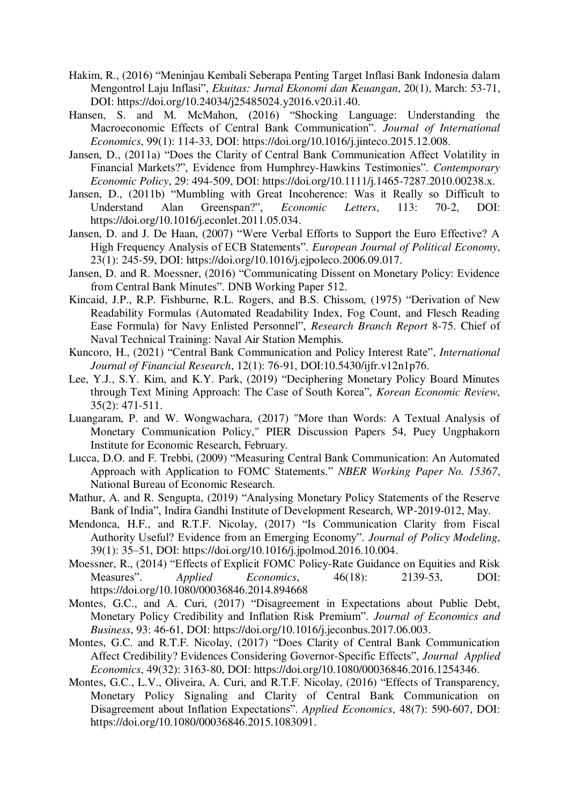- Hakim, R., (2016) "Meninjau Kembali Seberapa Penting Target Inflasi Bank Indonesia dalam Mengontrol Laju Inflasi", *Ekuitas: Jurnal Ekonomi dan Keuangan*, 20(1), March: 53-71, DOI: https://doi.org/10.24034/j25485024.y2016.v20.i1.40.
- Hansen, S. and M. McMahon, (2016) "Shocking Language: Understanding the Macroeconomic Effects of Central Bank Communication". *Journal of International Economics*, 99(1): 114-33, DOI: https://doi.org/10.1016/j.jinteco.2015.12.008.
- Jansen, D., (2011a) "Does the Clarity of Central Bank Communication Affect Volatility in Financial Markets?", Evidence from Humphrey-Hawkins Testimonies". *Contemporary Economic Policy*, 29: 494-509, DOI: https://doi.org/10.1111/j.1465-7287.2010.00238.x.
- Jansen, D., (2011b) "Mumbling with Great Incoherence: Was it Really so Difficult to Understand Alan Greenspan?", *Economic Letters*, 113: 70-2, DOI: https://doi.org/10.1016/j.econlet.2011.05.034.
- Jansen, D. and J. De Haan, (2007) "Were Verbal Efforts to Support the Euro Effective? A High Frequency Analysis of ECB Statements". *European Journal of Political Economy*, 23(1): 245-59, DOI: https://doi.org/10.1016/j.ejpoleco.2006.09.017.
- Jansen, D. and R. Moessner, (2016) "Communicating Dissent on Monetary Policy: Evidence from Central Bank Minutes". DNB Working Paper 512.
- Kincaid, J.P., R.P. Fishburne, R.L. Rogers, and B.S. Chissom, (1975) "Derivation of New Readability Formulas (Automated Readability Index, Fog Count, and Flesch Reading Ease Formula) for Navy Enlisted Personnel", *Research Branch Report* 8-75. Chief of Naval Technical Training: Naval Air Station Memphis.
- Kuncoro, H., (2021) "Central Bank Communication and Policy Interest Rate", *International Journal of Financial Research*, 12(1): 76-91, DOI:10.5430/ijfr.v12n1p76.
- Lee, Y.J., S.Y. Kim, and K.Y. Park, (2019) "Deciphering Monetary Policy Board Minutes through Text Mining Approach: The Case of South Korea", *Korean Economic Review*, 35(2): 471-511.
- Luangaram, P. and W. Wongwachara, (2017) "More than Words: A Textual Analysis of Monetary Communication Policy," PIER Discussion Papers 54, Puey Ungphakorn Institute for Economic Research, February.
- Lucca, D.O. and F. Trebbi, (2009) "Measuring Central Bank Communication: An Automated Approach with Application to FOMC Statements." *NBER Working Paper No. 15367*, National Bureau of Economic Research.
- Mathur, A. and R. Sengupta, (2019) "Analysing Monetary Policy Statements of the Reserve Bank of India", Indira Gandhi Institute of Development Research, WP-2019-012, May.
- Mendonca, H.F., and R.T.F. Nicolay, (2017) "Is Communication Clarity from Fiscal Authority Useful? Evidence from an Emerging Economy". *Journal of Policy Modeling*, 39(1): 35–51, DOI: https://doi.org/10.1016/j.jpolmod.2016.10.004.
- Moessner, R., (2014) "Effects of Explicit FOMC Policy-Rate Guidance on Equities and Risk Measures". *Applied Economics*, 46(18): 2139-53, DOI: https://doi.org/10.1080/00036846.2014.894668
- Montes, G.C., and A. Curi, (2017) "Disagreement in Expectations about Public Debt, Monetary Policy Credibility and Inflation Risk Premium". *Journal of Economics and Business*, 93: 46-61, DOI: https://doi.org/10.1016/j.jeconbus.2017.06.003.
- Montes, G.C. and R.T.F. Nicolay, (2017) "Does Clarity of Central Bank Communication Affect Credibility? Evidences Considering Governor-Specific Effects", *Journal Applied Economics*, 49(32): 3163-80, DOI: https://doi.org/10.1080/00036846.2016.1254346.
- Montes, G.C., L.V., Oliveira, A. Curi, and R.T.F. Nicolay, (2016) "Effects of Transparency, Monetary Policy Signaling and Clarity of Central Bank Communication on Disagreement about Inflation Expectations". *Applied Economics*, 48(7): 590-607, DOI: https://doi.org/10.1080/00036846.2015.1083091.